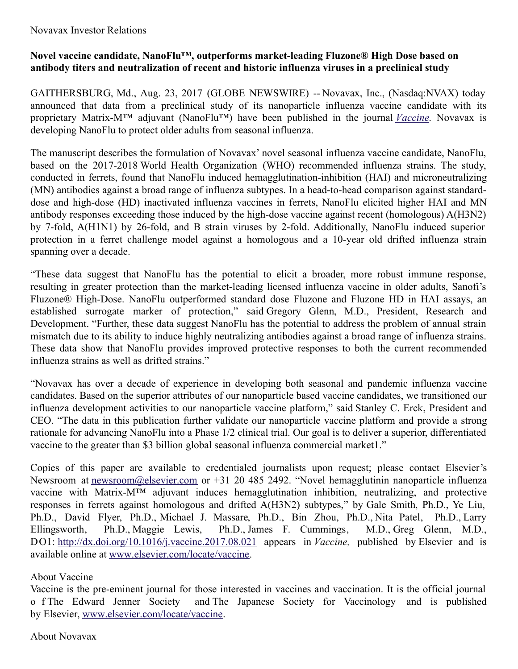## Novavax Investor Relations

## **Novel vaccine candidate, NanoFlu™, outperforms market-leading Fluzone® High Dose based on antibody titers and neutralization of recent and historic influenza viruses in a preclinical study**

GAITHERSBURG, Md., Aug. 23, 2017 (GLOBE NEWSWIRE) -- Novavax, Inc., (Nasdaq:NVAX) today announced that data from a preclinical study of its nanoparticle influenza vaccine candidate with its proprietary Matrix-M™ adjuvant (NanoFlu™) have been published in the journal *[Vaccine](https://www.globenewswire.com/Tracker?data=o5L301O8ugU-tsrKYmC_E8xL5xUMkGufFSD9CgiRd_J6i1XjuSDZJxnhEMlomNGs6YGlnn34dYtRo_j7jscimRU9buRIHVW9rp1KVeLxdKUZ44aBB2T4xyk1RdG01rVz)*. Novavax is developing NanoFlu to protect older adults from seasonal influenza.

The manuscript describes the formulation of Novavax' novel seasonal influenza vaccine candidate, NanoFlu, based on the 2017-2018 World Health Organization (WHO) recommended influenza strains. The study, conducted in ferrets, found that NanoFlu induced hemagglutination-inhibition (HAI) and microneutralizing (MN) antibodies against a broad range of influenza subtypes. In a head-to-head comparison against standarddose and high-dose (HD) inactivated influenza vaccines in ferrets, NanoFlu elicited higher HAI and MN antibody responses exceeding those induced by the high-dose vaccine against recent (homologous) A(H3N2) by 7-fold, A(H1N1) by 26-fold, and B strain viruses by 2-fold. Additionally, NanoFlu induced superior protection in a ferret challenge model against a homologous and a 10-year old drifted influenza strain spanning over a decade.

"These data suggest that NanoFlu has the potential to elicit a broader, more robust immune response, resulting in greater protection than the market-leading licensed influenza vaccine in older adults, Sanofi's Fluzone® High-Dose. NanoFlu outperformed standard dose Fluzone and Fluzone HD in HAI assays, an established surrogate marker of protection," said Gregory Glenn, M.D., President, Research and Development. "Further, these data suggest NanoFlu has the potential to address the problem of annual strain mismatch due to its ability to induce highly neutralizing antibodies against a broad range of influenza strains. These data show that NanoFlu provides improved protective responses to both the current recommended influenza strains as well as drifted strains."

"Novavax has over a decade of experience in developing both seasonal and pandemic influenza vaccine candidates. Based on the superior attributes of our nanoparticle based vaccine candidates, we transitioned our influenza development activities to our nanoparticle vaccine platform," said Stanley C. Erck, President and CEO. "The data in this publication further validate our nanoparticle vaccine platform and provide a strong rationale for advancing NanoFlu into a Phase 1/2 clinical trial. Our goal is to deliver a superior, differentiated vaccine to the greater than \$3 billion global seasonal influenza commercial market1."

Copies of this paper are available to credentialed journalists upon request; please contact Elsevier's Newsroom at [newsroom@elsevier.com](https://www.globenewswire.com/Tracker?data=xEzvt_s60BXshQpNZI1xLFICkVi84T0IvT8McQfQK5IobsJp8dRSosjgWRXrwkj63qcgqLHtyZasRyxMQNYGw3hT97R_shsJiIhhj_55cj8=) or +31 20 485 2492. "Novel hemagglutinin nanoparticle influenza vaccine with Matrix-M™ adjuvant induces hemagglutination inhibition, neutralizing, and protective responses in ferrets against homologous and drifted A(H3N2) subtypes," by Gale Smith, Ph.D., Ye Liu, Ph.D., David Flyer, Ph.D., Michael J. Massare, Ph.D., Bin Zhou, Ph.D., Nita Patel, Ph.D., Larry Ellingsworth, Ph.D., Maggie Lewis, Ph.D., James F. Cummings, M.D., Greg Glenn, M.D., DOI: [http://dx.doi.org/10.1016/j.vaccine.2017.08.021](https://www.globenewswire.com/Tracker?data=SFxjEhFLy4gRNd5qBMMph8nGdFZu3kuc8zzW99pzTkd8AtvJzfsg1vIsbQ9HjW-YmbVW1ap5OkVYxy92FSHHYjKctgzFP-TGW1zkotcuR8e3TTrriM5Bsnw1094Y86sdnhOrQNae7NnwOQvWzk7lbGVfPvKvI7rYdqA6RT1cnSs=) appears in *Vaccine,* published by Elsevier and is available online at [www.elsevier.com/locate/vaccine](https://www.globenewswire.com/Tracker?data=0NzOly_rgGMoFTu-_2-Kfe5pcMQjbHAUPuUQSzQAiYUFbAv-wMy4lK_HtEaJFgUe2qR3CMsB4EZymyG2pfWyPpkRa5aM-e5F5l3E3sq21LaghamQjHoLzysWfUjmXdBu).

## About Vaccine

Vaccine is the pre-eminent journal for those interested in vaccines and vaccination. It is the official journal o f The Edward Jenner Society and The Japanese Society for Vaccinology and is published by Elsevier, [www.elsevier.com/locate/vaccine](https://www.globenewswire.com/Tracker?data=0NzOly_rgGMoFTu-_2-Kfe5pcMQjbHAUPuUQSzQAiYUqqmT7g7i3db1ZiDOVaw_KLJ3Ik2quKE_LQkSH4j9Ya9pVaJ5UIzhFzxLU6tHHNzLEjqu48whcnnYiI8l8Zf6h).